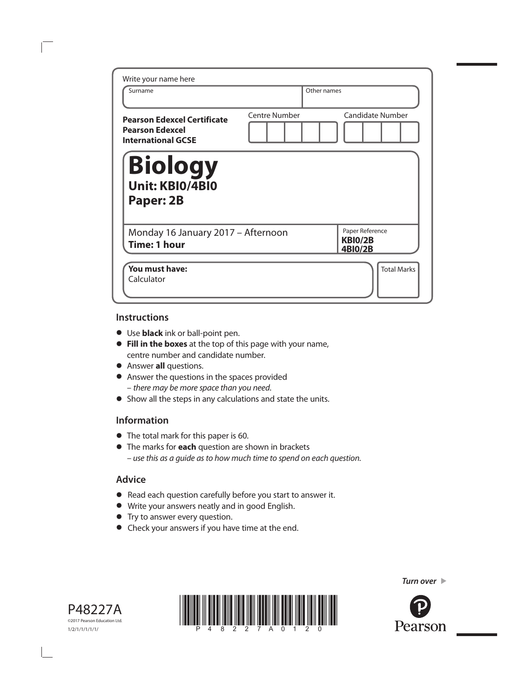| Surname                                                                                   | Other names          |                                                     |
|-------------------------------------------------------------------------------------------|----------------------|-----------------------------------------------------|
| <b>Pearson Edexcel Certificate</b><br><b>Pearson Edexcel</b><br><b>International GCSE</b> | <b>Centre Number</b> | <b>Candidate Number</b>                             |
| <b>Biology</b><br>Unit: KBI0/4BI0                                                         |                      |                                                     |
| Paper: 2B                                                                                 |                      |                                                     |
| Monday 16 January 2017 - Afternoon<br><b>Time: 1 hour</b>                                 |                      | Paper Reference<br><b>KBI0/2B</b><br><b>4BI0/2B</b> |

### **Instructions**

- **•** Use **black** ink or ball-point pen.
- **• Fill in the boxes** at the top of this page with your name, centre number and candidate number.
- **•** Answer **all** questions.
- **•** Answer the questions in the spaces provided – *there may be more space than you need*.
- **•** Show all the steps in any calculations and state the units.

# **Information**

- **•** The total mark for this paper is 60.
- **•** The marks for **each** question are shown in brackets *– use this as a guide as to how much time to spend on each question.*

# **Advice**

- **•** Read each question carefully before you start to answer it.
- **•** Write your answers neatly and in good English.
- **•** Try to answer every question.
- **•** Check your answers if you have time at the end.





*Turn over* 

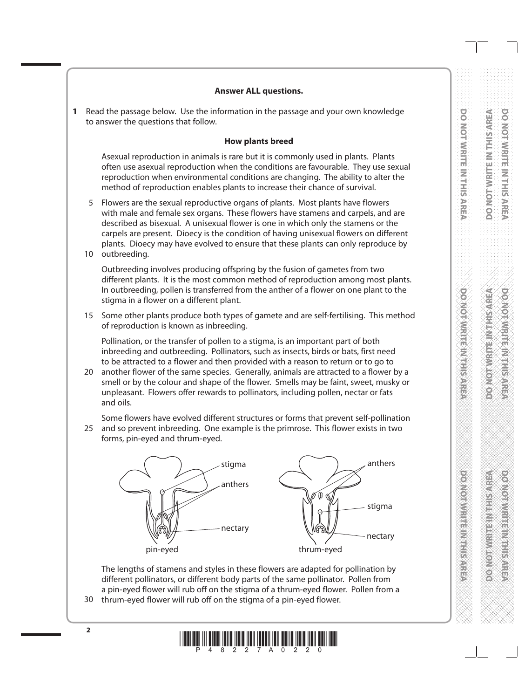# **DOMOT/WRITE IN THIS AREA DO NOT WRITE IN THE INTERNATIONAL CONTRACTOR**

### **Answer ALL questions.**

**1** Read the passage below. Use the information in the passage and your own knowledge to answer the questions that follow.

#### **How plants breed**

Asexual reproduction in animals is rare but it is commonly used in plants. Plants often use asexual reproduction when the conditions are favourable. They use sexual reproduction when environmental conditions are changing. The ability to alter the method of reproduction enables plants to increase their chance of survival.

- 5 Flowers are the sexual reproductive organs of plants. Most plants have flowers 10 outbreeding. with male and female sex organs. These flowers have stamens and carpels, and are described as bisexual. A unisexual flower is one in which only the stamens or the carpels are present. Dioecy is the condition of having unisexual flowers on different plants. Dioecy may have evolved to ensure that these plants can only reproduce by
- 

Outbreeding involves producing offspring by the fusion of gametes from two different plants. It is the most common method of reproduction among most plants. In outbreeding, pollen is transferred from the anther of a flower on one plant to the stigma in a flower on a different plant.

15 Some other plants produce both types of gamete and are self-fertilising. This method of reproduction is known as inbreeding.

Pollination, or the transfer of pollen to a stigma, is an important part of both inbreeding and outbreeding. Pollinators, such as insects, birds or bats, first need to be attracted to a flower and then provided with a reason to return or to go to

20 another flower of the same species. Generally, animals are attracted to a flower by a smell or by the colour and shape of the flower. Smells may be faint, sweet, musky or unpleasant. Flowers offer rewards to pollinators, including pollen, nectar or fats and oils.

25 Some flowers have evolved different structures or forms that prevent self-pollination and so prevent inbreeding. One example is the primrose. This flower exists in two forms, pin-eyed and thrum-eyed.



30 thrum-eyed flower will rub off on the stigma of a pin-eyed flower. The lengths of stamens and styles in these flowers are adapted for pollination by different pollinators, or different body parts of the same pollinator. Pollen from a pin-eyed flower will rub off on the stigma of a thrum-eyed flower. Pollen from a

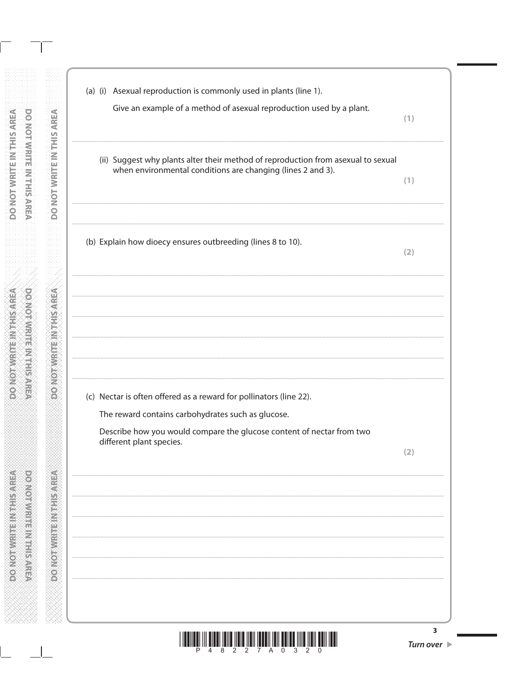| (a) (i) Asexual reproduction is commonly used in plants (line 1).<br>Give an example of a method of asexual reproduction used by a plant.        | (1) |
|--------------------------------------------------------------------------------------------------------------------------------------------------|-----|
| (ii) Suggest why plants alter their method of reproduction from asexual to sexual<br>when environmental conditions are changing (lines 2 and 3). | (1) |
| (b) Explain how dioecy ensures outbreeding (lines 8 to 10).                                                                                      | (2) |
|                                                                                                                                                  |     |
| (c) Nectar is often offered as a reward for pollinators (line 22).<br>The reward contains carbohydrates such as glucose.                         |     |
| Describe how you would compare the glucose content of nectar from two<br>different plant species.                                                | (2) |
|                                                                                                                                                  |     |
|                                                                                                                                                  |     |

**DONOTWENTENTHEAREA** 

**ASSESSMENT PROVIDED** 



 $\overline{\mathbf{3}}$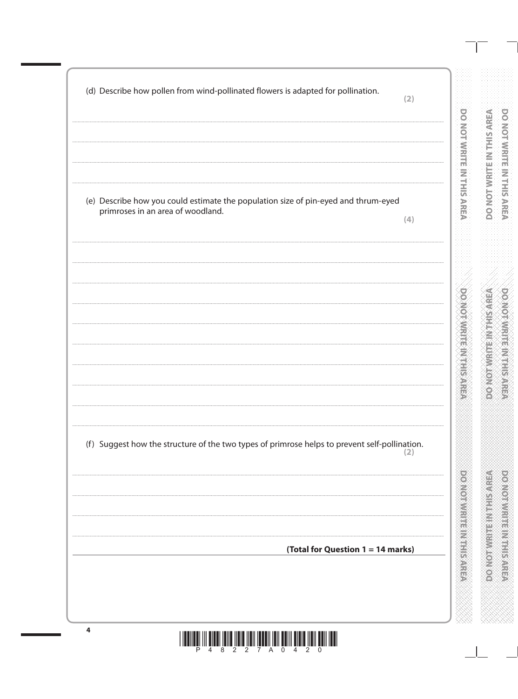| (d) Describe how pollen from wind-pollinated flowers is adapted for pollination.                                        | (2) |
|-------------------------------------------------------------------------------------------------------------------------|-----|
| (e) Describe how you could estimate the population size of pin-eyed and thrum-eyed<br>primroses in an area of woodland. | (4) |
|                                                                                                                         |     |
| (f) Suggest how the structure of the two types of primrose helps to prevent self-pollination.                           | (2) |
| (Total for Question 1 = 14 marks)                                                                                       |     |
| 4                                                                                                                       |     |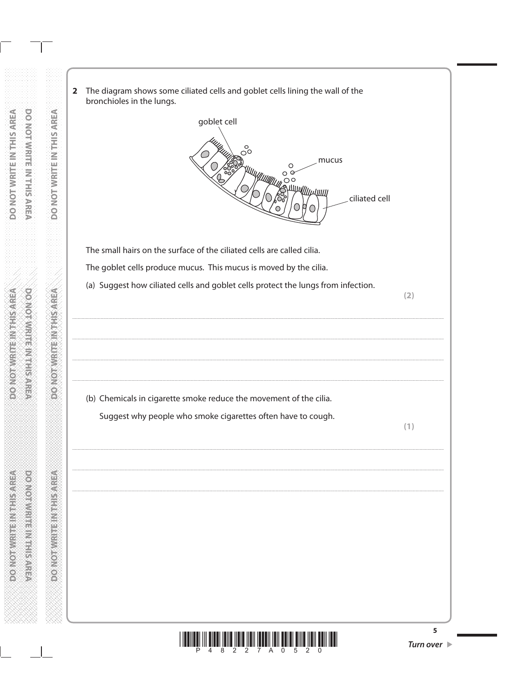2 The diagram shows some ciliated cells and goblet cells lining the wall of the bronchioles in the lungs.



The small hairs on the surface of the ciliated cells are called cilia.

The goblet cells produce mucus. This mucus is moved by the cilia.

- (a) Suggest how ciliated cells and goblet cells protect the lungs from infection.
- $(2)$

(b) Chemicals in cigarette smoke reduce the movement of the cilia. Suggest why people who smoke cigarettes often have to cough.

 $(1)$ 

**POSSIBLE IN THE STATE OF STATE** 

**DO NOT WRITE IN THIS AREA** 

**DONOT WRITEIN THIS AREA** 

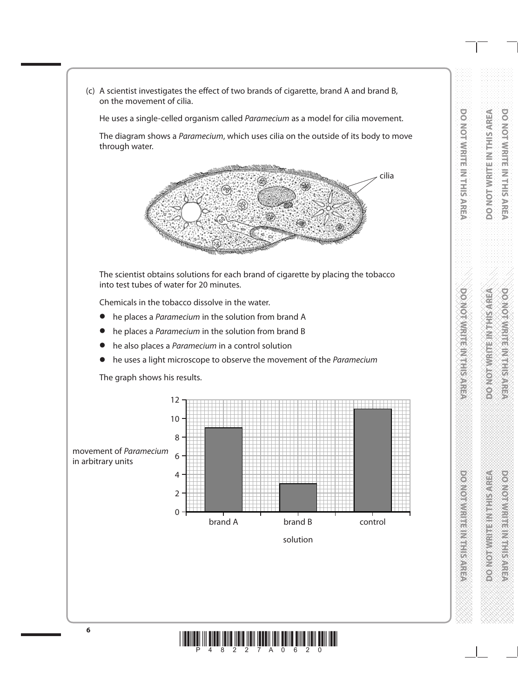**ON ORIGINATE IN THE SAME** 

 (c) A scientist investigates the effect of two brands of cigarette, brand A and brand B, on the movement of cilia.

He uses a single-celled organism called *Paramecium* as a model for cilia movement.

 The diagram shows a *Paramecium*, which uses cilia on the outside of its body to move through water.



 The scientist obtains solutions for each brand of cigarette by placing the tobacco into test tubes of water for 20 minutes.

Chemicals in the tobacco dissolve in the water.

- **•** he places a *Paramecium* in the solution from brand A
- **•** he places a *Paramecium* in the solution from brand B
- **•** he also places a *Paramecium* in a control solution
- **•** he uses a light microscope to observe the movement of the *Paramecium*

The graph shows his results.



\*P48227A0620\*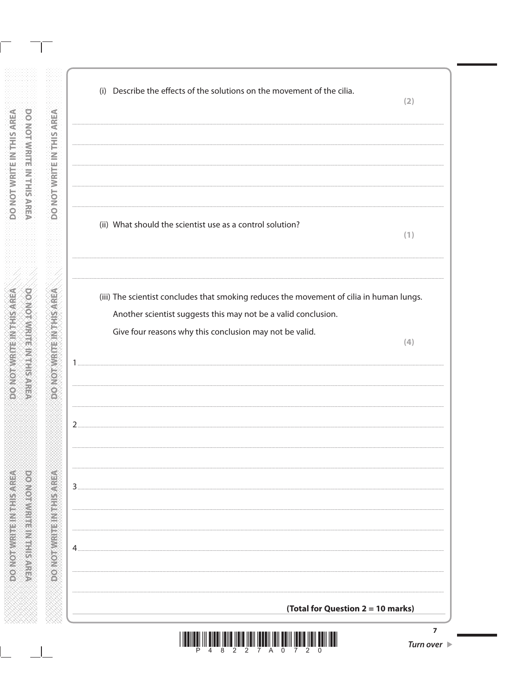|   | (Total for Question 2 = 10 marks)                                                                                                                          |     |
|---|------------------------------------------------------------------------------------------------------------------------------------------------------------|-----|
|   |                                                                                                                                                            |     |
| 4 |                                                                                                                                                            |     |
|   |                                                                                                                                                            |     |
|   |                                                                                                                                                            |     |
| 3 |                                                                                                                                                            |     |
|   |                                                                                                                                                            |     |
| 2 |                                                                                                                                                            |     |
|   |                                                                                                                                                            |     |
|   |                                                                                                                                                            |     |
|   | Give four reasons why this conclusion may not be valid.                                                                                                    | (4) |
|   | (iii) The scientist concludes that smoking reduces the movement of cilia in human lungs.<br>Another scientist suggests this may not be a valid conclusion. |     |
|   |                                                                                                                                                            |     |
|   |                                                                                                                                                            |     |
|   | (ii) What should the scientist use as a control solution?                                                                                                  | (1) |
|   |                                                                                                                                                            |     |
|   |                                                                                                                                                            |     |
|   |                                                                                                                                                            |     |
|   |                                                                                                                                                            | (2) |
|   | (i) Describe the effects of the solutions on the movement of the cilia.                                                                                    |     |

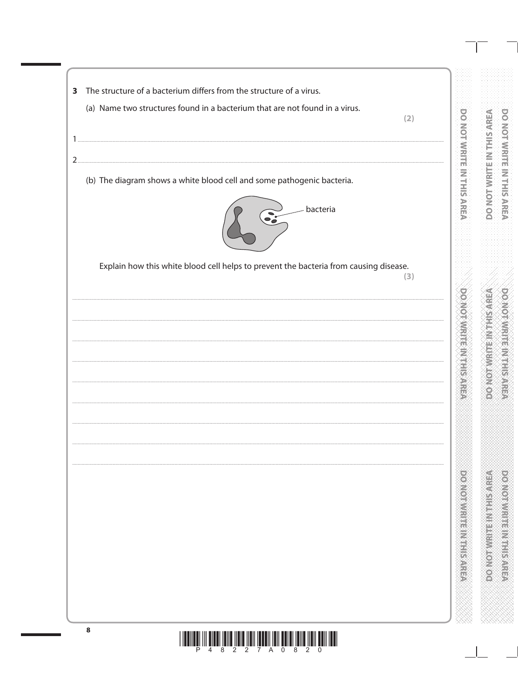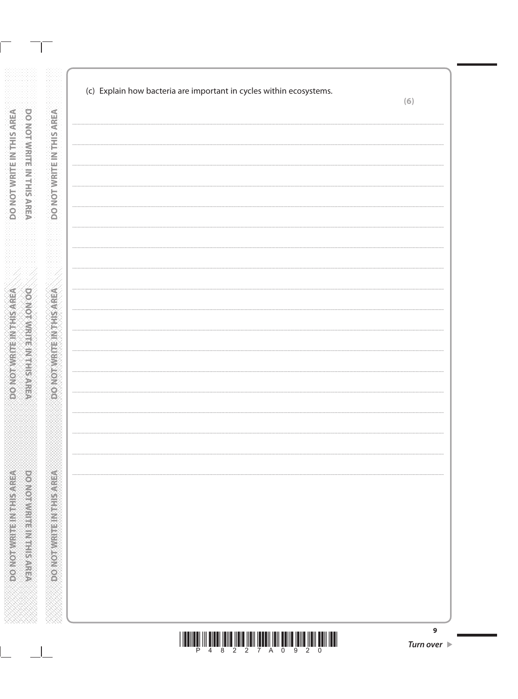| (c) Explain how bacteria are important in cycles within ecosystems. | (6) |
|---------------------------------------------------------------------|-----|
|                                                                     |     |
|                                                                     |     |
|                                                                     |     |
|                                                                     |     |
|                                                                     |     |
|                                                                     |     |
|                                                                     |     |
|                                                                     |     |
|                                                                     |     |
|                                                                     |     |
|                                                                     |     |
|                                                                     |     |
|                                                                     |     |
|                                                                     |     |
|                                                                     |     |
|                                                                     |     |
|                                                                     |     |
|                                                                     |     |
|                                                                     |     |
|                                                                     |     |
|                                                                     |     |
|                                                                     |     |
|                                                                     |     |
|                                                                     |     |
|                                                                     |     |
|                                                                     |     |
|                                                                     |     |
|                                                                     |     |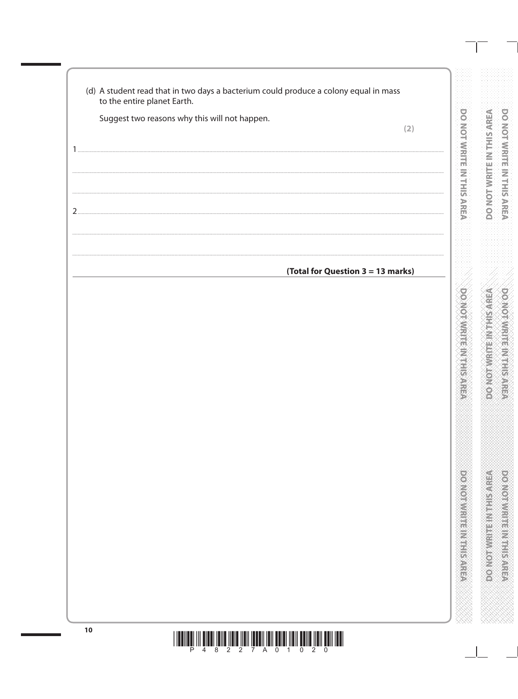| Suggest two reasons why this will not happen. |                                   |  |
|-----------------------------------------------|-----------------------------------|--|
|                                               | (2)                               |  |
|                                               |                                   |  |
|                                               |                                   |  |
|                                               |                                   |  |
|                                               |                                   |  |
|                                               |                                   |  |
|                                               |                                   |  |
|                                               |                                   |  |
|                                               | (Total for Question 3 = 13 marks) |  |
|                                               |                                   |  |
|                                               |                                   |  |
|                                               |                                   |  |
|                                               |                                   |  |
|                                               |                                   |  |
|                                               |                                   |  |
|                                               |                                   |  |
|                                               |                                   |  |
|                                               |                                   |  |
|                                               |                                   |  |
|                                               |                                   |  |
|                                               |                                   |  |
|                                               |                                   |  |
|                                               |                                   |  |
|                                               |                                   |  |
|                                               |                                   |  |
|                                               |                                   |  |
|                                               |                                   |  |
|                                               |                                   |  |
|                                               |                                   |  |

I

1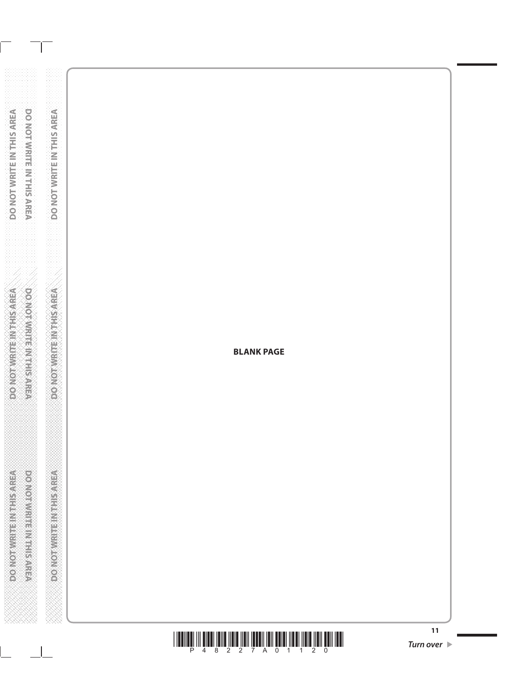

**BLANK PAGE**

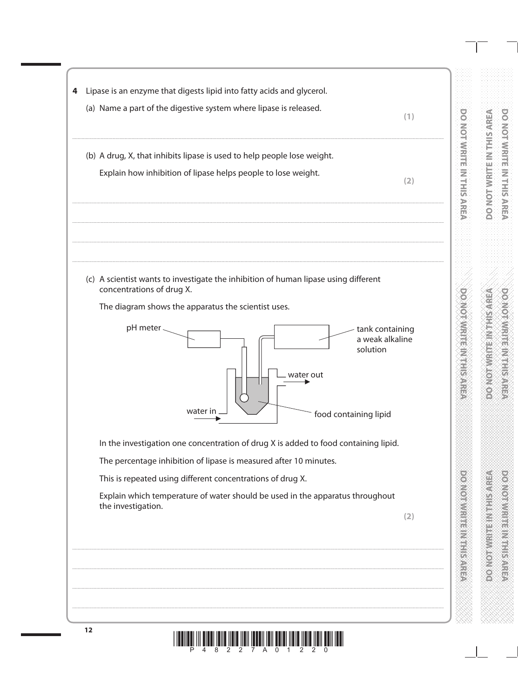| Lipase is an enzyme that digests lipid into fatty acids and glycerol.<br>(a) Name a part of the digestive system where lipase is released.                                                                                                                                                                                                                                                                                                                                                                                                    | (1)                                                                            |
|-----------------------------------------------------------------------------------------------------------------------------------------------------------------------------------------------------------------------------------------------------------------------------------------------------------------------------------------------------------------------------------------------------------------------------------------------------------------------------------------------------------------------------------------------|--------------------------------------------------------------------------------|
| (b) A drug, X, that inhibits lipase is used to help people lose weight.<br>Explain how inhibition of lipase helps people to lose weight.                                                                                                                                                                                                                                                                                                                                                                                                      | (2)                                                                            |
| (c) A scientist wants to investigate the inhibition of human lipase using different<br>concentrations of drug X.<br>The diagram shows the apparatus the scientist uses.<br>pH meter<br>water out<br>water in<br>In the investigation one concentration of drug X is added to food containing lipid.<br>The percentage inhibition of lipase is measured after 10 minutes.<br>This is repeated using different concentrations of drug X.<br>Explain which temperature of water should be used in the apparatus throughout<br>the investigation. | tank containing<br>a weak alkaline<br>solution<br>food containing lipid<br>(2) |
| $12$                                                                                                                                                                                                                                                                                                                                                                                                                                                                                                                                          |                                                                                |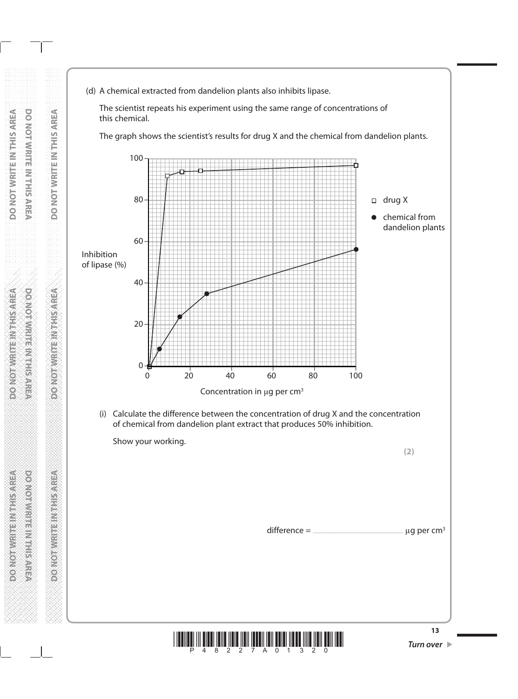(d) A chemical extracted from dandelion plants also inhibits lipase.

 The scientist repeats his experiment using the same range of concentrations of this chemical.

The graph shows the scientist's results for drug X and the chemical from dandelion plants.



 (i) Calculate the difference between the concentration of drug X and the concentration of chemical from dandelion plant extract that produces 50% inhibition.

Show your working.

difference = ................................................................... µg per cm3



**(2)**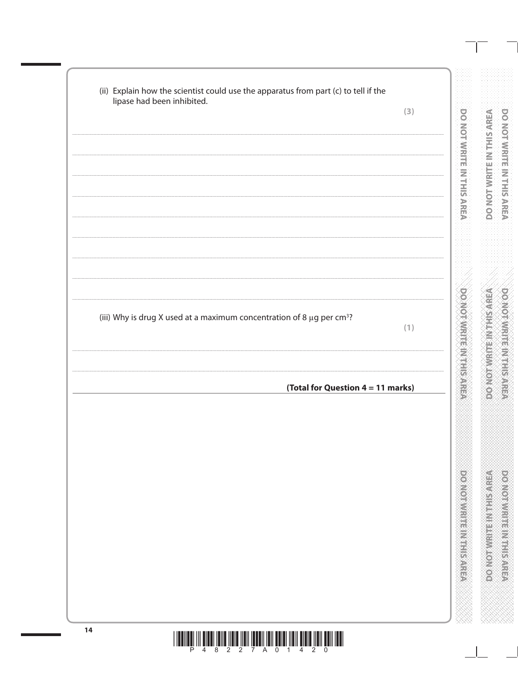| lipase had been inhibited.                                                             |                                   | (3) |
|----------------------------------------------------------------------------------------|-----------------------------------|-----|
|                                                                                        |                                   |     |
|                                                                                        |                                   |     |
|                                                                                        |                                   |     |
|                                                                                        |                                   |     |
|                                                                                        |                                   |     |
|                                                                                        |                                   |     |
|                                                                                        |                                   |     |
|                                                                                        |                                   |     |
|                                                                                        |                                   |     |
|                                                                                        |                                   |     |
| (iii) Why is drug X used at a maximum concentration of 8 $\mu$ g per cm <sup>3</sup> ? |                                   | (1) |
|                                                                                        |                                   |     |
|                                                                                        |                                   |     |
|                                                                                        | (Total for Question 4 = 11 marks) |     |
|                                                                                        |                                   |     |
|                                                                                        |                                   |     |
|                                                                                        |                                   |     |
|                                                                                        |                                   |     |
|                                                                                        |                                   |     |
|                                                                                        |                                   |     |
|                                                                                        |                                   |     |
|                                                                                        |                                   |     |
|                                                                                        |                                   |     |
|                                                                                        |                                   |     |
|                                                                                        |                                   |     |
|                                                                                        |                                   |     |

 $\frac{1}{4}\frac{1}{2}\frac{1}{2}\frac{1}{2}\frac{1}{2}\frac{1}{2}\frac{1}{2}\frac{1}{2}\frac{1}{2}\frac{1}{2}\frac{1}{2}\frac{1}{2}\frac{1}{2}\frac{1}{2}\frac{1}{2}\frac{1}{2}\frac{1}{2}\frac{1}{2}\frac{1}{2}\frac{1}{2}\frac{1}{2}\frac{1}{2}\frac{1}{2}\frac{1}{2}\frac{1}{2}\frac{1}{2}\frac{1}{2}\frac{1}{2}\frac{1}{2}\frac{1}{2}\frac{1}{2}\frac{1}{2}\frac{1}{2}\frac{1}{2}\frac{1}{2}\frac{1}{2}\frac{1$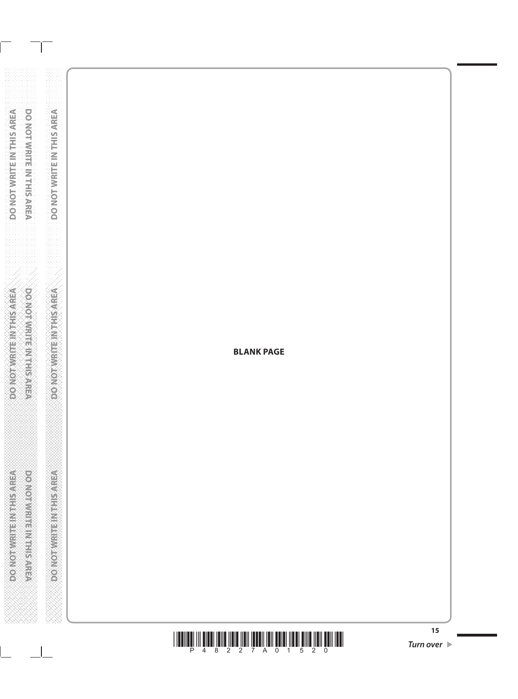



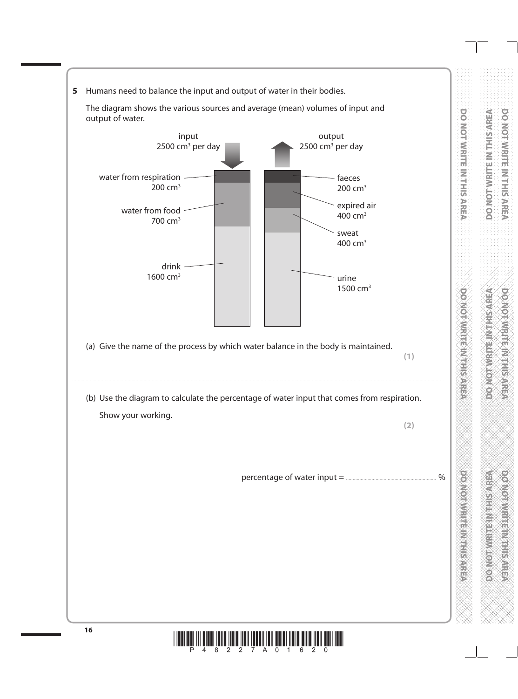**5** Humans need to balance the input and output of water in their bodies.

The diagram shows the various sources and average (mean) volumes of input and output of water.



**DO NOT WRITE IN THIS AREA**

**PONONNE TELEVISION**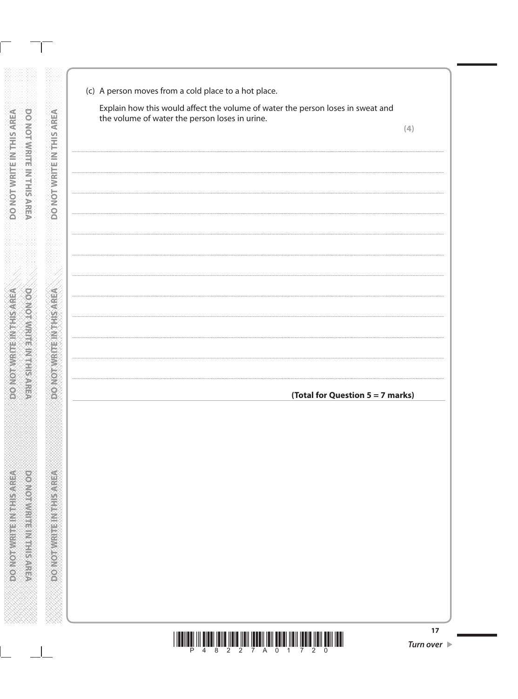| (4)                                | Explain how this would affect the volume of water the person loses in sweat and |  |
|------------------------------------|---------------------------------------------------------------------------------|--|
|                                    | the volume of water the person loses in urine.                                  |  |
|                                    |                                                                                 |  |
|                                    |                                                                                 |  |
|                                    |                                                                                 |  |
| (Total for Question $5 = 7$ marks) |                                                                                 |  |
|                                    |                                                                                 |  |
|                                    |                                                                                 |  |
|                                    |                                                                                 |  |
|                                    |                                                                                 |  |
|                                    |                                                                                 |  |
|                                    |                                                                                 |  |
|                                    |                                                                                 |  |
|                                    |                                                                                 |  |
|                                    |                                                                                 |  |
|                                    |                                                                                 |  |
|                                    |                                                                                 |  |
|                                    |                                                                                 |  |
|                                    |                                                                                 |  |
|                                    |                                                                                 |  |
|                                    |                                                                                 |  |
|                                    |                                                                                 |  |
|                                    |                                                                                 |  |
|                                    |                                                                                 |  |
|                                    |                                                                                 |  |
|                                    |                                                                                 |  |
|                                    |                                                                                 |  |
|                                    |                                                                                 |  |

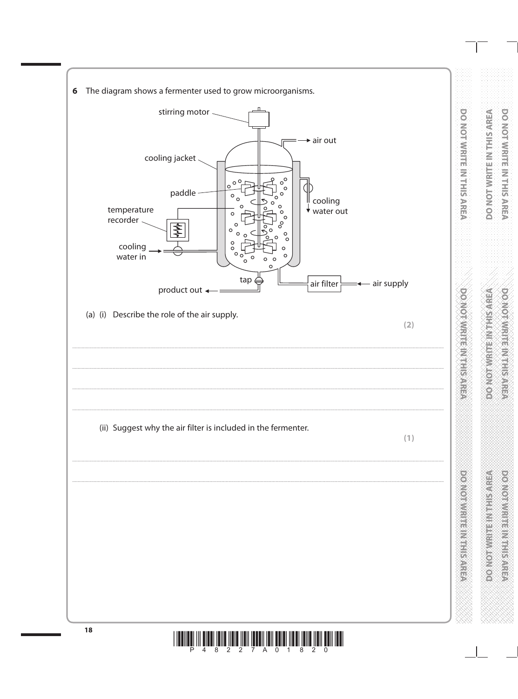

**DOMOTWRITE IN THIS AREA** 

**DOOMOON IS A FILM AND IN SAFETY**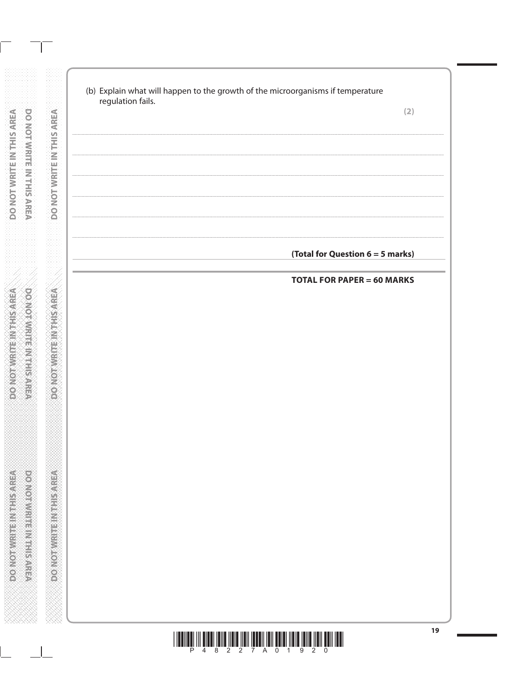|                                   | (b) Explain what will happen to the growth of the microorganisms if temperature |
|-----------------------------------|---------------------------------------------------------------------------------|
|                                   | regulation fails.<br>(2)                                                        |
| DO NOT WRITE IN THIS AREA         |                                                                                 |
|                                   |                                                                                 |
|                                   |                                                                                 |
|                                   |                                                                                 |
|                                   |                                                                                 |
|                                   | (Total for Question 6 = 5 marks)                                                |
|                                   | <b>TOTAL FOR PAPER = 60 MARKS</b>                                               |
| <b>DO NOT WRITE/N TEXAREA</b>     |                                                                                 |
|                                   |                                                                                 |
|                                   |                                                                                 |
|                                   |                                                                                 |
|                                   |                                                                                 |
|                                   |                                                                                 |
|                                   |                                                                                 |
|                                   |                                                                                 |
|                                   |                                                                                 |
|                                   |                                                                                 |
|                                   |                                                                                 |
|                                   |                                                                                 |
| <b>Save Concernent Management</b> |                                                                                 |
|                                   |                                                                                 |
|                                   |                                                                                 |